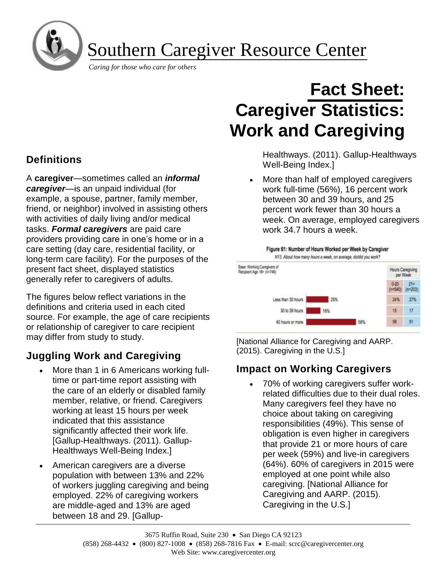

Southern Caregiver Resource Center

*Caring for those who care for others*

# **Definitions**

A **caregiver**—sometimes called an *informal caregiver*—is an unpaid individual (for example, a spouse, partner, family member, friend, or neighbor) involved in assisting others with activities of daily living and/or medical tasks. *Formal caregivers* are paid care providers providing care in one's home or in a care setting (day care, residential facility, or long-term care facility). For the purposes of the present fact sheet, displayed statistics generally refer to caregivers of adults.

The figures below reflect variations in the definitions and criteria used in each cited source. For example, the age of care recipients or relationship of caregiver to care recipient may differ from study to study.

# **Juggling Work and Caregiving**

- More than 1 in 6 Americans working fulltime or part-time report assisting with the care of an elderly or disabled family member, relative, or friend. Caregivers working at least 15 hours per week indicated that this assistance significantly affected their work life. [Gallup-Healthways. (2011). Gallup-Healthways Well-Being Index.]
- American caregivers are a diverse population with between 13% and 22% of workers juggling caregiving and being employed. 22% of caregiving workers are middle-aged and 13% are aged between 18 and 29. [Gallup-

# **Fact Sheet: Caregiver Statistics: Work and Caregiving**

Healthways. (2011). Gallup-Healthways Well-Being Index.]

• More than half of employed caregivers work full-time (56%), 16 percent work between 30 and 39 hours, and 25 percent work fewer than 30 hours a week. On average, employed caregivers work 34.7 hours a week.



[National Alliance for Caregiving and AARP. (2015). Caregiving in the U.S.]

## **Impact on Working Caregivers**

• 70% of working caregivers suffer workrelated difficulties due to their dual roles. Many caregivers feel they have no choice about taking on caregiving responsibilities (49%). This sense of obligation is even higher in caregivers that provide 21 or more hours of care per week (59%) and live-in caregivers (64%). 60% of caregivers in 2015 were employed at one point while also caregiving. [National Alliance for Caregiving and AARP. (2015). Caregiving in the U.S.]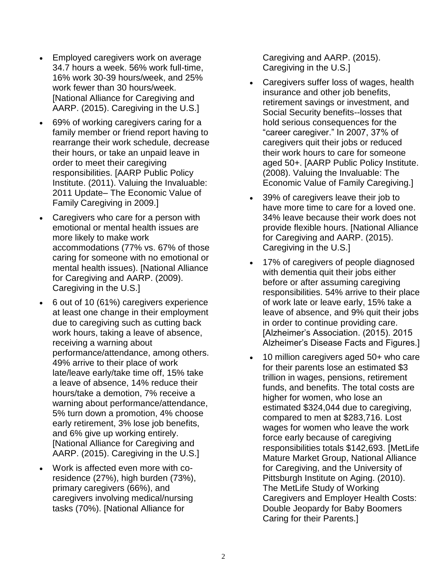- Employed caregivers work on average 34.7 hours a week. 56% work full-time, 16% work 30-39 hours/week, and 25% work fewer than 30 hours/week. [National Alliance for Caregiving and AARP. (2015). Caregiving in the U.S.]
- 69% of working caregivers caring for a family member or friend report having to rearrange their work schedule, decrease their hours, or take an unpaid leave in order to meet their caregiving responsibilities. [AARP Public Policy Institute. (2011). Valuing the Invaluable: 2011 Update– The Economic Value of Family Caregiving in 2009.]
- Caregivers who care for a person with emotional or mental health issues are more likely to make work accommodations (77% vs. 67% of those caring for someone with no emotional or mental health issues). [National Alliance for Caregiving and AARP. (2009). Caregiving in the U.S.]
- 6 out of 10 (61%) caregivers experience at least one change in their employment due to caregiving such as cutting back work hours, taking a leave of absence, receiving a warning about performance/attendance, among others. 49% arrive to their place of work late/leave early/take time off, 15% take a leave of absence, 14% reduce their hours/take a demotion, 7% receive a warning about performance/attendance, 5% turn down a promotion, 4% choose early retirement, 3% lose job benefits, and 6% give up working entirely. [National Alliance for Caregiving and AARP. (2015). Caregiving in the U.S.]
- Work is affected even more with coresidence (27%), high burden (73%), primary caregivers (66%), and caregivers involving medical/nursing tasks (70%). [National Alliance for

Caregiving and AARP. (2015). Caregiving in the U.S.]

- Caregivers suffer loss of wages, health insurance and other job benefits, retirement savings or investment, and Social Security benefits--losses that hold serious consequences for the "career caregiver." In 2007, 37% of caregivers quit their jobs or reduced their work hours to care for someone aged 50+. [AARP Public Policy Institute. (2008). Valuing the Invaluable: The Economic Value of Family Caregiving.]
- 39% of caregivers leave their job to have more time to care for a loved one. 34% leave because their work does not provide flexible hours. [National Alliance for Caregiving and AARP. (2015). Caregiving in the U.S.]
- 17% of caregivers of people diagnosed with dementia quit their jobs either before or after assuming caregiving responsibilities. 54% arrive to their place of work late or leave early, 15% take a leave of absence, and 9% quit their jobs in order to continue providing care. [Alzheimer's Association. (2015). 2015 Alzheimer's Disease Facts and Figures.]
- 10 million caregivers aged 50+ who care for their parents lose an estimated \$3 trillion in wages, pensions, retirement funds, and benefits. The total costs are higher for women, who lose an estimated \$324,044 due to caregiving, compared to men at \$283,716. Lost wages for women who leave the work force early because of caregiving responsibilities totals \$142,693. [MetLife Mature Market Group, National Alliance for Caregiving, and the University of Pittsburgh Institute on Aging. (2010). The MetLife Study of Working Caregivers and Employer Health Costs: Double Jeopardy for Baby Boomers Caring for their Parents.]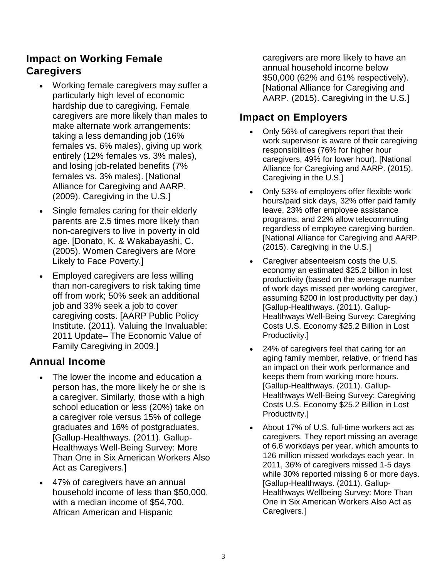#### **Impact on Working Female Caregivers**

- Working female caregivers may suffer a particularly high level of economic hardship due to caregiving. Female caregivers are more likely than males to make alternate work arrangements: taking a less demanding job (16% females vs. 6% males), giving up work entirely (12% females vs. 3% males), and losing job-related benefits (7% females vs. 3% males). [National Alliance for Caregiving and AARP. (2009). Caregiving in the U.S.]
- Single females caring for their elderly parents are 2.5 times more likely than non-caregivers to live in poverty in old age. [Donato, K. & Wakabayashi, C. (2005). Women Caregivers are More Likely to Face Poverty.]
- Employed caregivers are less willing than non-caregivers to risk taking time off from work; 50% seek an additional job and 33% seek a job to cover caregiving costs. [AARP Public Policy Institute. (2011). Valuing the Invaluable: 2011 Update– The Economic Value of Family Caregiving in 2009.]

#### **Annual Income**

- The lower the income and education a person has, the more likely he or she is a caregiver. Similarly, those with a high school education or less (20%) take on a caregiver role versus 15% of college graduates and 16% of postgraduates. [Gallup-Healthways. (2011). Gallup-Healthways Well-Being Survey: More Than One in Six American Workers Also Act as Caregivers.]
- 47% of caregivers have an annual household income of less than \$50,000, with a median income of \$54,700. African American and Hispanic

caregivers are more likely to have an annual household income below \$50,000 (62% and 61% respectively). [National Alliance for Caregiving and AARP. (2015). Caregiving in the U.S.]

### **Impact on Employers**

- Only 56% of caregivers report that their work supervisor is aware of their caregiving responsibilities (76% for higher hour caregivers, 49% for lower hour). [National Alliance for Caregiving and AARP. (2015). Caregiving in the U.S.]
- Only 53% of employers offer flexible work hours/paid sick days, 32% offer paid family leave, 23% offer employee assistance programs, and 22% allow telecommuting regardless of employee caregiving burden. [National Alliance for Caregiving and AARP. (2015). Caregiving in the U.S.]
- Caregiver absenteeism costs the U.S. economy an estimated \$25.2 billion in lost productivity (based on the average number of work days missed per working caregiver, assuming \$200 in lost productivity per day.) [Gallup-Healthways. (2011). Gallup-Healthways Well-Being Survey: Caregiving Costs U.S. Economy \$25.2 Billion in Lost Productivity.]
- 24% of caregivers feel that caring for an aging family member, relative, or friend has an impact on their work performance and keeps them from working more hours. [Gallup-Healthways. (2011). Gallup-Healthways Well-Being Survey: Caregiving Costs U.S. Economy \$25.2 Billion in Lost Productivity.]
- About 17% of U.S. full-time workers act as caregivers. They report missing an average of 6.6 workdays per year, which amounts to 126 million missed workdays each year. In 2011, 36% of caregivers missed 1-5 days while 30% reported missing 6 or more days. [Gallup-Healthways. (2011). Gallup-Healthways Wellbeing Survey: More Than One in Six American Workers Also Act as Caregivers.]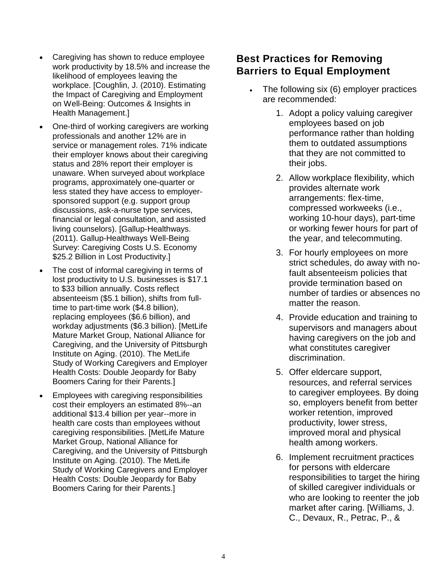- Caregiving has shown to reduce employee work productivity by 18.5% and increase the likelihood of employees leaving the workplace. [Coughlin, J. (2010). Estimating the Impact of Caregiving and Employment on Well-Being: Outcomes & Insights in Health Management.]
- One-third of working caregivers are working professionals and another 12% are in service or management roles. 71% indicate their employer knows about their caregiving status and 28% report their employer is unaware. When surveyed about workplace programs, approximately one-quarter or less stated they have access to employersponsored support (e.g. support group discussions, ask-a-nurse type services, financial or legal consultation, and assisted living counselors). [Gallup-Healthways. (2011). Gallup-Healthways Well-Being Survey: Caregiving Costs U.S. Economy \$25.2 Billion in Lost Productivity.]
- The cost of informal caregiving in terms of lost productivity to U.S. businesses is \$17.1 to \$33 billion annually. Costs reflect absenteeism (\$5.1 billion), shifts from fulltime to part-time work (\$4.8 billion), replacing employees (\$6.6 billion), and workday adjustments (\$6.3 billion). [MetLife Mature Market Group, National Alliance for Caregiving, and the University of Pittsburgh Institute on Aging. (2010). The MetLife Study of Working Caregivers and Employer Health Costs: Double Jeopardy for Baby Boomers Caring for their Parents.]
- Employees with caregiving responsibilities cost their employers an estimated 8%--an additional \$13.4 billion per year--more in health care costs than employees without caregiving responsibilities. [MetLife Mature Market Group, National Alliance for Caregiving, and the University of Pittsburgh Institute on Aging. (2010). The MetLife Study of Working Caregivers and Employer Health Costs: Double Jeopardy for Baby Boomers Caring for their Parents.]

#### **Best Practices for Removing Barriers to Equal Employment**

- The following six (6) employer practices are recommended:
	- 1. Adopt a policy valuing caregiver employees based on job performance rather than holding them to outdated assumptions that they are not committed to their jobs.
	- 2. Allow workplace flexibility, which provides alternate work arrangements: flex-time, compressed workweeks (i.e., working 10-hour days), part-time or working fewer hours for part of the year, and telecommuting.
	- 3. For hourly employees on more strict schedules, do away with nofault absenteeism policies that provide termination based on number of tardies or absences no matter the reason.
	- 4. Provide education and training to supervisors and managers about having caregivers on the job and what constitutes caregiver discrimination.
	- 5. Offer eldercare support, resources, and referral services to caregiver employees. By doing so, employers benefit from better worker retention, improved productivity, lower stress, improved moral and physical health among workers.
	- 6. Implement recruitment practices for persons with eldercare responsibilities to target the hiring of skilled caregiver individuals or who are looking to reenter the job market after caring. [Williams, J. C., Devaux, R., Petrac, P., &